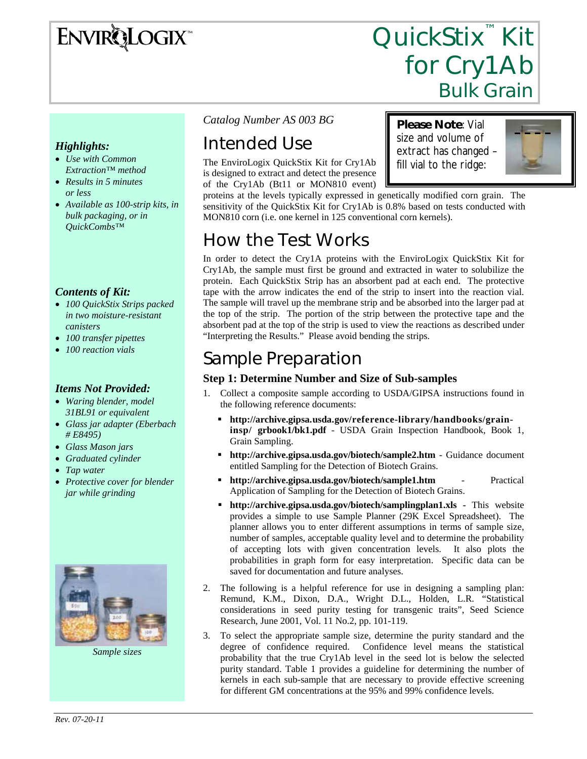## **ENVIRQLOGIX**

# QuickStix<sup>™</sup> Kit for Cry1Ab<br>Bulk Grain

#### *Highlights:*

- *Use with Common Extraction™ method*
- *Results in 5 minutes or less*
- *Available as 100-strip kits, in bulk packaging, or in QuickCombs™*

#### *Contents of Kit:*

- *100 QuickStix Strips packed in two moisture-resistant canisters*
- *100 transfer pipettes*
- *100 reaction vials*

#### *Items Not Provided:*

- *Waring blender, model 31BL91 or equivalent*
- *Glass jar adapter (Eberbach # E8495)*
- *Glass Mason jars*
- *Graduated cylinder*
- *Tap water*
- *Protective cover for blender jar while grinding*



*Sample sizes* 

*Catalog Number AS 003 BG* 

### Intended Use

The EnviroLogix QuickStix Kit for Cry1Ab is designed to extract and detect the presence of the Cry1Ab (Bt11 or MON810 event)

**Please Note**: Vial size and volume of extract has changed – fill vial to the ridge:



proteins at the levels typically expressed in genetically modified corn grain. The sensitivity of the QuickStix Kit for Cry1Ab is 0.8% based on tests conducted with MON810 corn (i.e. one kernel in 125 conventional corn kernels).

### How the Test Works

In order to detect the Cry1A proteins with the EnviroLogix QuickStix Kit for Cry1Ab, the sample must first be ground and extracted in water to solubilize the protein. Each QuickStix Strip has an absorbent pad at each end. The protective tape with the arrow indicates the end of the strip to insert into the reaction vial. The sample will travel up the membrane strip and be absorbed into the larger pad at the top of the strip. The portion of the strip between the protective tape and the absorbent pad at the top of the strip is used to view the reactions as described under "Interpreting the Results." Please avoid bending the strips.

### Sample Preparation

#### **Step 1: Determine Number and Size of Sub-samples**

- 1. Collect a composite sample according to USDA/GIPSA instructions found in the following reference documents:
	- **http://archive.gipsa.usda.gov/reference-library/handbooks/graininsp/ grbook1/bk1.pdf** - USDA Grain Inspection Handbook, Book 1, Grain Sampling.
	- **http://archive.gipsa.usda.gov/biotech/sample2.htm** Guidance document entitled Sampling for the Detection of Biotech Grains.
	- **http://archive.gipsa.usda.gov/biotech/sample1.htm** Practical Application of Sampling for the Detection of Biotech Grains.
	- **http://archive.gipsa.usda.gov/biotech/samplingplan1.xls** This website provides a simple to use Sample Planner (29K Excel Spreadsheet). The planner allows you to enter different assumptions in terms of sample size, number of samples, acceptable quality level and to determine the probability of accepting lots with given concentration levels. It also plots the probabilities in graph form for easy interpretation. Specific data can be saved for documentation and future analyses.
- 2. The following is a helpful reference for use in designing a sampling plan: Remund, K.M., Dixon, D.A., Wright D.L., Holden, L.R. "Statistical considerations in seed purity testing for transgenic traits", Seed Science Research, June 2001, Vol. 11 No.2, pp. 101-119.
- 3. To select the appropriate sample size, determine the purity standard and the degree of confidence required. Confidence level means the statistical probability that the true Cry1Ab level in the seed lot is below the selected purity standard. Table 1 provides a guideline for determining the number of kernels in each sub-sample that are necessary to provide effective screening for different GM concentrations at the 95% and 99% confidence levels.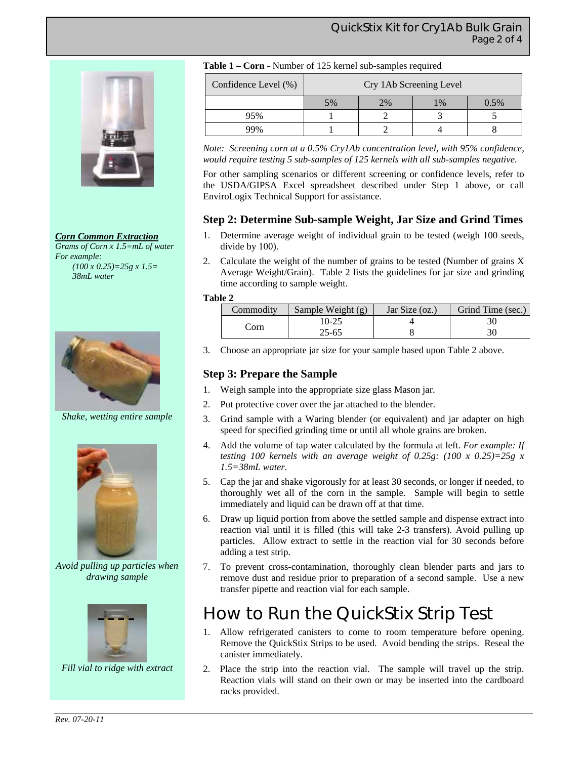#### QuickStix Kit for Cry1Ab Bulk Grain Page 2 of 4







*Shake, wetting entire sample* 



*Avoid pulling up particles when drawing sample* 



*Fill vial to ridge with extract* 

|  |  | Table 1 – Corn - Number of 125 kernel sub-samples required |
|--|--|------------------------------------------------------------|
|--|--|------------------------------------------------------------|

| Confidence Level (%) | Cry 1Ab Screening Level |    |               |      |
|----------------------|-------------------------|----|---------------|------|
|                      | 5%                      | 2% | $\frac{0}{6}$ | 0.5% |
| 95%                  |                         |    |               |      |
|                      |                         |    |               |      |

*Note: Screening corn at a 0.5% Cry1Ab concentration level, with 95% confidence, would require testing 5 sub-samples of 125 kernels with all sub-samples negative.* 

For other sampling scenarios or different screening or confidence levels, refer to the USDA/GIPSA Excel spreadsheet described under Step 1 above, or call EnviroLogix Technical Support for assistance.

#### **Step 2: Determine Sub-sample Weight, Jar Size and Grind Times**

- 1. Determine average weight of individual grain to be tested (weigh 100 seeds, divide by 100).
- 2. Calculate the weight of the number of grains to be tested (Number of grains X Average Weight/Grain). Table 2 lists the guidelines for jar size and grinding time according to sample weight.

#### **Table 2**

| Commodity | Sample Weight (g) | Jar Size $(oz.)$ | Grind Time (sec.) |
|-----------|-------------------|------------------|-------------------|
| `orn      | $10-25$           |                  |                   |
|           | $25 - 65$         |                  |                   |

3. Choose an appropriate jar size for your sample based upon Table 2 above.

#### **Step 3: Prepare the Sample**

- 1. Weigh sample into the appropriate size glass Mason jar.
- 2. Put protective cover over the jar attached to the blender.
- 3. Grind sample with a Waring blender (or equivalent) and jar adapter on high speed for specified grinding time or until all whole grains are broken.
- 4. Add the volume of tap water calculated by the formula at left. *For example: If testing 100 kernels with an average weight of 0.25g: (100 x 0.25)=25g x 1.5=38mL water.*
- 5. Cap the jar and shake vigorously for at least 30 seconds, or longer if needed, to thoroughly wet all of the corn in the sample. Sample will begin to settle immediately and liquid can be drawn off at that time.
- 6. Draw up liquid portion from above the settled sample and dispense extract into reaction vial until it is filled (this will take 2-3 transfers). Avoid pulling up particles. Allow extract to settle in the reaction vial for 30 seconds before adding a test strip.
- 7. To prevent cross-contamination, thoroughly clean blender parts and jars to remove dust and residue prior to preparation of a second sample. Use a new transfer pipette and reaction vial for each sample.

### How to Run the QuickStix Strip Test

- 1. Allow refrigerated canisters to come to room temperature before opening. Remove the QuickStix Strips to be used. Avoid bending the strips. Reseal the canister immediately.
- 2. Place the strip into the reaction vial. The sample will travel up the strip. Reaction vials will stand on their own or may be inserted into the cardboard racks provided.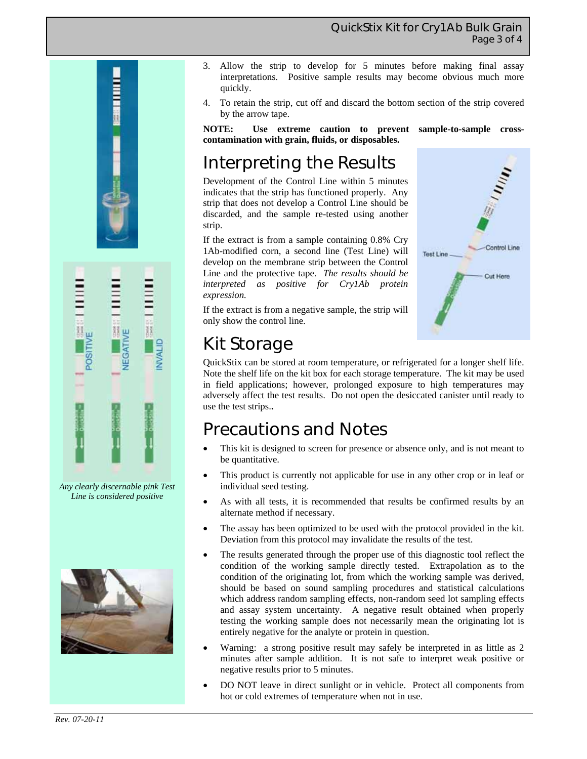#### QuickStix Kit for Cry1Ab Bulk Grain Page 3 of 4





*Any clearly discernable pink Test Line is considered positive* 



- 3. Allow the strip to develop for 5 minutes before making final assay interpretations. Positive sample results may become obvious much more quickly.
- 4. To retain the strip, cut off and discard the bottom section of the strip covered by the arrow tape.

**NOTE: Use extreme caution to prevent sample-to-sample crosscontamination with grain, fluids, or disposables.** 

### Interpreting the Results

Development of the Control Line within 5 minutes indicates that the strip has functioned properly. Any strip that does not develop a Control Line should be discarded, and the sample re-tested using another strip.

If the extract is from a sample containing 0.8% Cry 1Ab-modified corn, a second line (Test Line) will develop on the membrane strip between the Control Line and the protective tape. *The results should be interpreted as positive for Cry1Ab protein expression.*

Control Line **Test Line** Cut Here

If the extract is from a negative sample, the strip will only show the control line.

### Kit Storage

QuickStix can be stored at room temperature, or refrigerated for a longer shelf life. Note the shelf life on the kit box for each storage temperature. The kit may be used in field applications; however, prolonged exposure to high temperatures may adversely affect the test results. Do not open the desiccated canister until ready to use the test strips.**.** 

### Precautions and Notes

- This kit is designed to screen for presence or absence only, and is not meant to be quantitative.
- This product is currently not applicable for use in any other crop or in leaf or individual seed testing.
- As with all tests, it is recommended that results be confirmed results by an alternate method if necessary.
- The assay has been optimized to be used with the protocol provided in the kit. Deviation from this protocol may invalidate the results of the test.
- The results generated through the proper use of this diagnostic tool reflect the condition of the working sample directly tested. Extrapolation as to the condition of the originating lot, from which the working sample was derived, should be based on sound sampling procedures and statistical calculations which address random sampling effects, non-random seed lot sampling effects and assay system uncertainty. A negative result obtained when properly testing the working sample does not necessarily mean the originating lot is entirely negative for the analyte or protein in question.
- Warning: a strong positive result may safely be interpreted in as little as 2 minutes after sample addition. It is not safe to interpret weak positive or negative results prior to 5 minutes.
- DO NOT leave in direct sunlight or in vehicle. Protect all components from hot or cold extremes of temperature when not in use.

*Rev. 07-20-11*